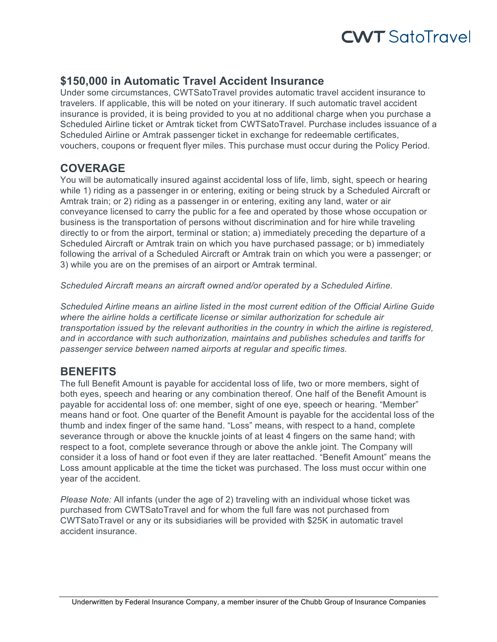# **CWT** SatoTravel

## **\$150,000 in Automatic Travel Accident Insurance**

Under some circumstances, CWTSatoTravel provides automatic travel accident insurance to travelers. If applicable, this will be noted on your itinerary. If such automatic travel accident insurance is provided, it is being provided to you at no additional charge when you purchase a Scheduled Airline ticket or Amtrak ticket from CWTSatoTravel. Purchase includes issuance of a Scheduled Airline or Amtrak passenger ticket in exchange for redeemable certificates, vouchers, coupons or frequent flyer miles. This purchase must occur during the Policy Period.

### **COVERAGE**

You will be automatically insured against accidental loss of life, limb, sight, speech or hearing while 1) riding as a passenger in or entering, exiting or being struck by a Scheduled Aircraft or Amtrak train; or 2) riding as a passenger in or entering, exiting any land, water or air conveyance licensed to carry the public for a fee and operated by those whose occupation or business is the transportation of persons without discrimination and for hire while traveling directly to or from the airport, terminal or station; a) immediately preceding the departure of a Scheduled Aircraft or Amtrak train on which you have purchased passage; or b) immediately following the arrival of a Scheduled Aircraft or Amtrak train on which you were a passenger; or 3) while you are on the premises of an airport or Amtrak terminal.

*Scheduled Aircraft means an aircraft owned and/or operated by a Scheduled Airline.*

*Scheduled Airline means an airline listed in the most current edition of the Official Airline Guide where the airline holds a certificate license or similar authorization for schedule air transportation issued by the relevant authorities in the country in which the airline is registered, and in accordance with such authorization, maintains and publishes schedules and tariffs for passenger service between named airports at regular and specific times.*

### **BENEFITS**

The full Benefit Amount is payable for accidental loss of life, two or more members, sight of both eyes, speech and hearing or any combination thereof. One half of the Benefit Amount is payable for accidental loss of: one member, sight of one eye, speech or hearing. "Member" means hand or foot. One quarter of the Benefit Amount is payable for the accidental loss of the thumb and index finger of the same hand. "Loss" means, with respect to a hand, complete severance through or above the knuckle joints of at least 4 fingers on the same hand; with respect to a foot, complete severance through or above the ankle joint. The Company will consider it a loss of hand or foot even if they are later reattached. "Benefit Amount" means the Loss amount applicable at the time the ticket was purchased. The loss must occur within one year of the accident.

*Please Note:* All infants (under the age of 2) traveling with an individual whose ticket was purchased from CWTSatoTravel and for whom the full fare was not purchased from CWTSatoTravel or any or its subsidiaries will be provided with \$25K in automatic travel accident insurance.